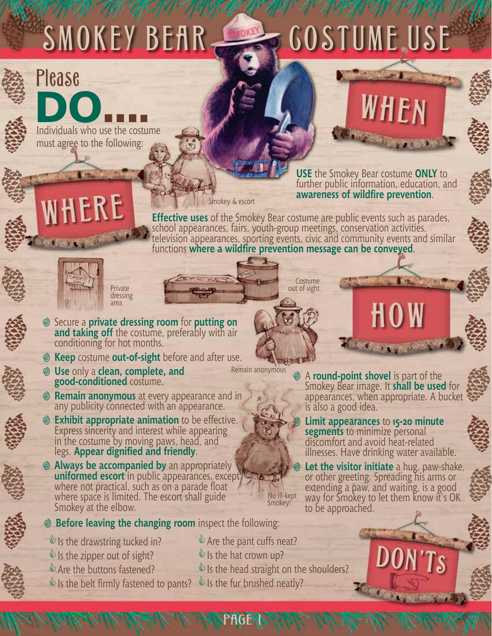## SMOKEY BEAR COSTUME USE



**DO.....**<br>Individuals who use the costume

Please





**USE** the Smokey Bear costume **ONLY** to further public information, education, and **awareness of wildfire prevention**.

Smokey & escort

**Effective uses** of the Smokey Bear costume are public events such as parades, school appearances, fairs, youth-group meetings, conservation activities, television appearances, sporting events, civic and community events and similar functions **where a wildfire prevention message can be conveyed**.

> **Costume** out of sight



Private dressing area

- <sup>i</sup> Secure a **private dressing room** for **putting on and taking off** the costume, preferably with air conditioning for hot months.
- **Example 20 Keep** costume **out-of-sight** before and after use.
- <sup>i</sup> **Use** only a **clean, complete, and good-conditioned** costume.
	- Remain anonymous

PAGE<sup>V</sup>

**Are the pant cuffs neat? Us the hat crown up?** 

No ill-kept Smokey!

- **i Remain anonymous** at every appearance and in any publicity connected with an appearance.
- **Exhibit appropriate animation** to be effective. Express sincerity and interest while appearing in the costume by moving paws, head, and legs. **Appear dignified and friendly**.
- *<b>@* Always be accompanied by an appropriately **uniformed escort** in public appearances, except where not practical, such as on a parade float where space is limited. The escort shall guide Smokey at the elbow.
- **Example 3 Before leaving the changing room** inspect the following:
- $\bullet$  Is the drawstring tucked in?  $\bullet$  Is the zipper out of sight? **Are the buttons fastened?**
- $\bullet$  Is the belt firmly fastened to pants?  $\bullet$  Is the fur brushed neatly?

<sup>i</sup> <sup>A</sup>**round-point shovel** is part of the Smokey Bear image. It **shall be used** for appearances, when appropriate. A bucket is also a good idea.

**Limit appearances** to **15-20 minute segments** to minimize personal discomfort and avoid heat-related illnesses. Have drinking water available.

**Let the visitor initiate** a hug, paw-shake, or other greeting. Spreading his arms or extending a paw, and waiting, is a good way for Smokey to let them know it's OK to be approached.





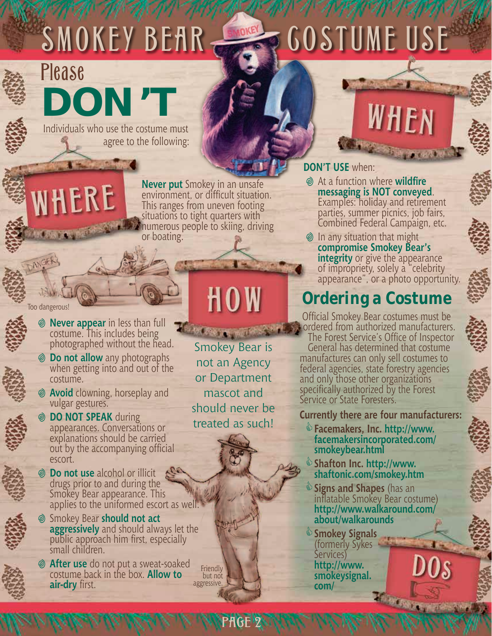## SMOKEY BEAR COSTUME USE



### **DON'T** Please

NHERE

**Administration** 

Individuals who use the costume must agree to the following:

**Never put** Smokey in an unsafe environment, or difficult situation. This ranges from uneven footing situations to tight quarters with numerous people to skiing, driving or boating.

Too dangerous!

- $\circ$  **Never appear** in less than full costume. This includes being photographed without the head.
	- **i Do not allow** any photographs when getting into and out of the costume.
	- <sup>i</sup> **Avoid** clowning, horseplay and vulgar gestures.
	- <sup>i</sup> **DO NOT SPEAK** during appearances. Conversations or explanations should be carried out by the accompanying official escort.
- *S* Do not use alcohol or illicit drugs prior to and during the Smokey Bear appearance. This applies to the uniformed escort as well.
- i Smokey Bear **should not act aggressively** and should always let the public approach him first, especially small children.
- <sup>i</sup> **After use** do not put a sweat-soaked costume back in the box. **Allow to air-dry** first.

## HOW

Smokey Bear is not an Agency or Department mascot and should never be treated as such!

PAGE 2

**Friendly** but not aggressive.

**DON'T USE** when:

**Example 2 At a function where wildfire messaging is NOT conveyed. Examples: holiday and retirement** parties, summer picnics, job fairs, Combined Federal Campaign, etc.

WHEN

 $\odot$  In any situation that might **compromise Smokey Bear's integrity** or give the appearance of impropriety, solely a "celebrity appearance", or a photo opportunity.

### **Ordering a Costume**

Official Smokey Bear costumes must be ordered from authorized manufacturers. The Forest Service's Office of Inspector General has determined that costume manufactures can only sell costumes to federal agencies, state forestry agencies and only those other organizations specifically authorized by the Forest Service or State Foresters.

**Currently there are four manufacturers:**

- &**Facemakers, Inc. http://www. facemakersincorporated.com/ smokeybear.html**
- &**Shafton Inc. http://www. shaftonic.com/smokey.htm**
- &**Signs and Shapes** (has an inflatable Smokey Bear costume) **http://www.walkaround.com/ about/walkarounds**
- &**Smokey Signals** (formerly Sykes Services) **http://www. smokeysignal. com/ Triscale**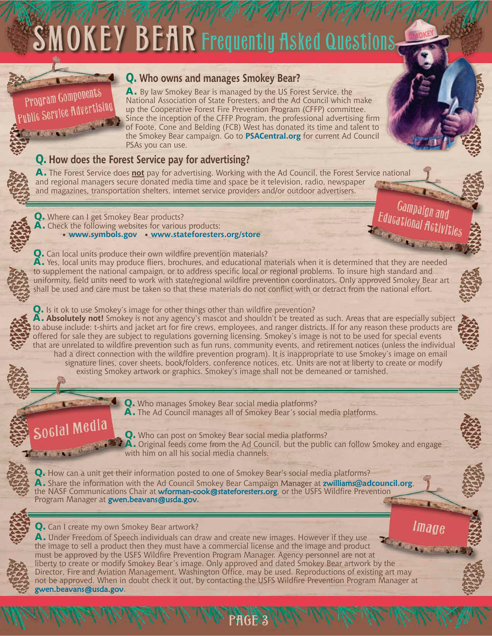# SMOKEY BEAR Frequently Asked Questions



#### **Q. Who owns and manages Smokey Bear?**

**A.** By law Smokey Bear is managed by the US Forest Service, the National Association of State Foresters, and the Ad Council which make up the Cooperative Forest Fire Prevention Program (CFFP) committee. Since the inception of the CFFP Program, the professional advertising firm of Foote, Cone and Belding (FCB) West has donated its time and talent to the Smokey Bear campaign. Go to **PSACentral.org** for current Ad Council PSAs you can use.

#### **Q. How does the Forest Service pay for advertising?**

**A.** The Forest Service does **not** pay for advertising. Working with the Ad Council, the Forest Service national and regional managers secure donated media time and space be it television, radio, newspaper and magazines, transportation shelters, internet service providers and/or outdoor advertisers.

**Q.** Where can I get Smokey Bear products? **A.** Check the following websites for various products:

• **www.symbols.gov** • **www.stateforesters.org/store**

**Exchange of the Second Plats Q.** Can local units produce their own wildfire prevention materials? **A.** Yes, local units may produce fliers, brochures, and educational materials when it is determined that they are needed to supplement the national campaign, or to address specific local or regional problems. To insure high standard and uniformity, field units need to work with state/regional wildfire prevention coordinators. Only approved Smokey Bear art shall be used and care must be taken so that these materials do not conflict with or detract from the national effort.

**Q.** Is it ok to use Smokey's image for other things other than wildfire prevention? **A. Absolutely not!** Smokey is not any agency's mascot and shouldn't be treated as such. Areas that are especially subject to abuse include: t-shirts and jacket art for fire crews, employees, and ranger districts. If for any reason these products are offered for sale they are subject to regulations governing licensing. Smokey's image is not to be used for special events that are unrelated to wildfire prevention such as fun runs, community events, and retirement notices (unless the individual had a direct connection with the wildfire prevention program). It is inappropriate to use Smokey's image on email

signature lines, cover sheets, book/folders, conference notices, etc. Units are not at liberty to create or modify existing Smokey artwork or graphics. Smokey's image shall not be demeaned or tarnished.



**Q.** Who manages Smokey Bear social media platforms? **A.** The Ad Council manages all of Smokey Bear's social media platforms.

**Q.** Who can post on Smokey Bear social media platforms? **A.** Original feeds come from the Ad Council, but the public can follow Smokey and engage with him on all his social media channels.

Gampaign and Educational Activities

**Q.** How can a unit get their information posted to one of Smokey Bear's social media platforms? **A.** Share the information with the Ad Council Smokey Bear Campaign Manager at zwilliams**@adcouncil.org**, the NASF Communications Chair at wforman-cook@stateforesters.org, or the USFS Wildfire Prevention Program Manager at gwen.beavans@usda.gov.



**Q.** Can I create my own Smokey Bear artwork?

**Image A.** Under Freedom of Speech individuals can draw and create new images. However if they use the image to sell a product then they must have a commercial license and the image and product must be approved by the USFS Wildfire Prevention Program Manager. Agency personnel are not at liberty to create or modify Smokey Bear's image. Only approved and dated Smokey Bear artwork by the Director, Fire and Aviation Management, Washington Office, may be used. Reproductions of existing art may not be approved. When in doubt check it out, by contacting the USFS Wildfire Prevention Program Manager at gwen.beavans@usda.gov.

PAGE 3